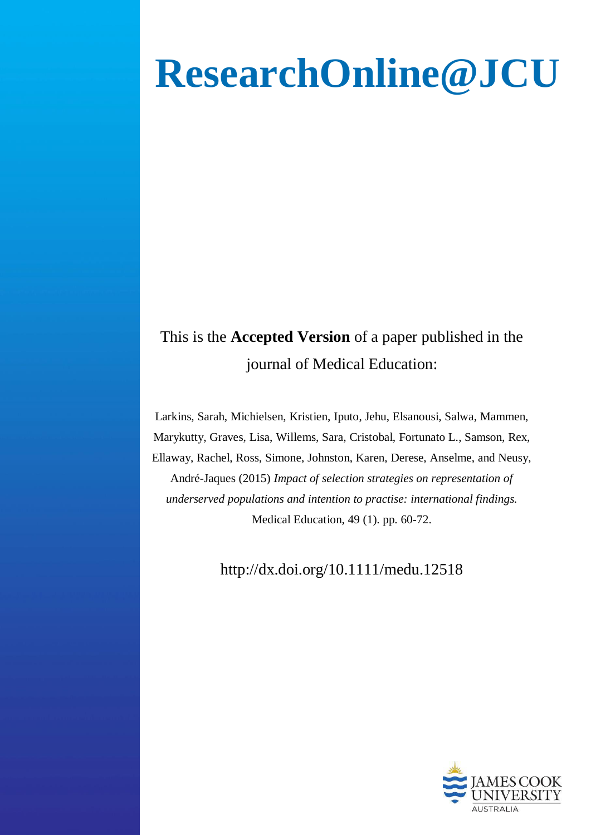# **ResearchOnline@JCU**

# This is the **Accepted Version** of a paper published in the journal of Medical Education:

Larkins, Sarah, Michielsen, Kristien, Iputo, Jehu, Elsanousi, Salwa, Mammen, Marykutty, Graves, Lisa, Willems, Sara, Cristobal, Fortunato L., Samson, Rex, Ellaway, Rachel, Ross, Simone, Johnston, Karen, Derese, Anselme, and Neusy, André-Jaques (2015) *Impact of selection strategies on representation of underserved populations and intention to practise: international findings.* Medical Education, 49 (1). pp. 60-72.

http://dx.doi.org/10.1111/medu.12518

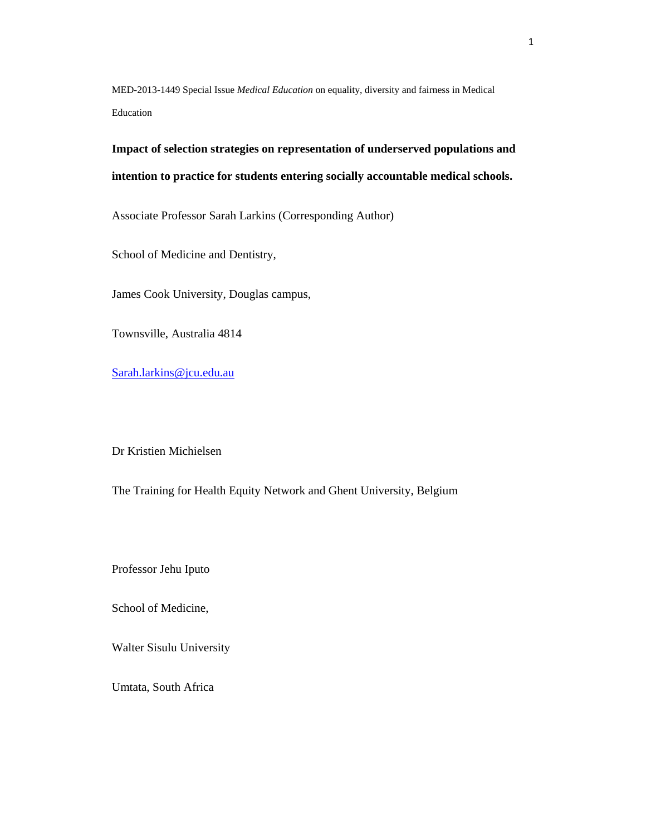MED-2013-1449 Special Issue *Medical Education* on equality, diversity and fairness in Medical Education

**Impact of selection strategies on representation of underserved populations and intention to practice for students entering socially accountable medical schools.** 

Associate Professor Sarah Larkins (Corresponding Author)

School of Medicine and Dentistry,

James Cook University, Douglas campus,

Townsville, Australia 4814

Sarah.larkins@jcu.edu.au

Dr Kristien Michielsen

The Training for Health Equity Network and Ghent University, Belgium

Professor Jehu Iputo

School of Medicine,

Walter Sisulu University

Umtata, South Africa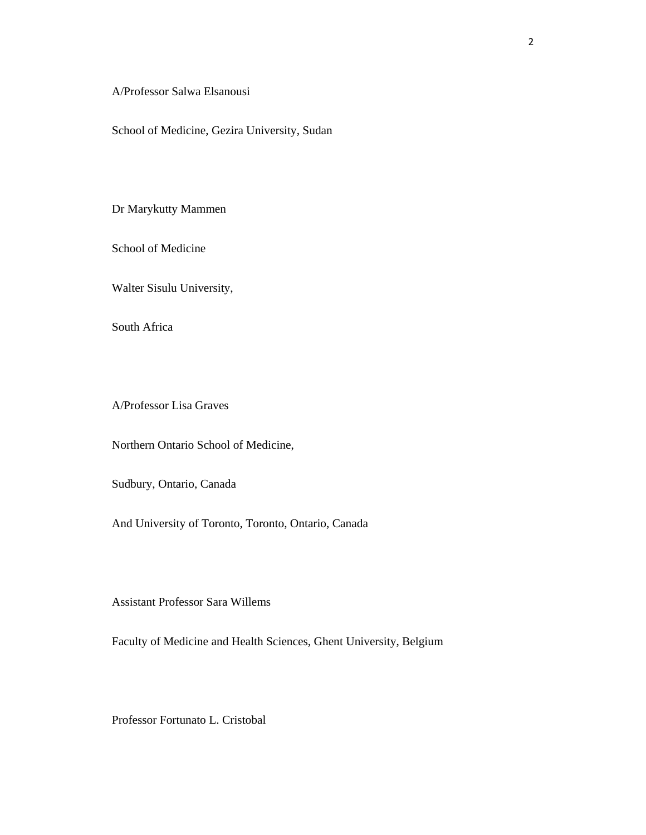A/Professor Salwa Elsanousi

School of Medicine, Gezira University, Sudan

Dr Marykutty Mammen

School of Medicine

Walter Sisulu University,

South Africa

A/Professor Lisa Graves

Northern Ontario School of Medicine,

Sudbury, Ontario, Canada

And University of Toronto, Toronto, Ontario, Canada

Assistant Professor Sara Willems

Faculty of Medicine and Health Sciences, Ghent University, Belgium

Professor Fortunato L. Cristobal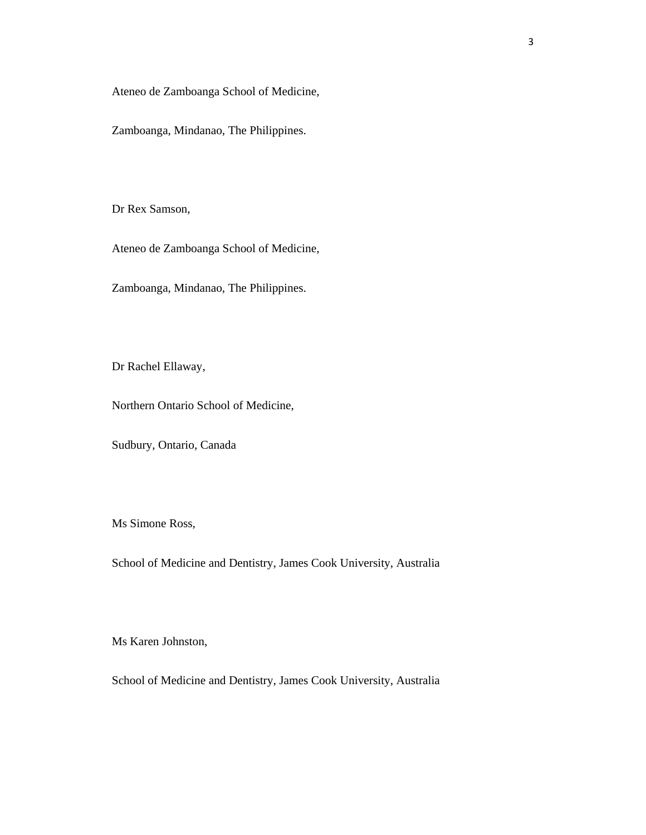Ateneo de Zamboanga School of Medicine,

Zamboanga, Mindanao, The Philippines.

Dr Rex Samson,

Ateneo de Zamboanga School of Medicine,

Zamboanga, Mindanao, The Philippines.

Dr Rachel Ellaway,

Northern Ontario School of Medicine,

Sudbury, Ontario, Canada

Ms Simone Ross,

School of Medicine and Dentistry, James Cook University, Australia

Ms Karen Johnston,

School of Medicine and Dentistry, James Cook University, Australia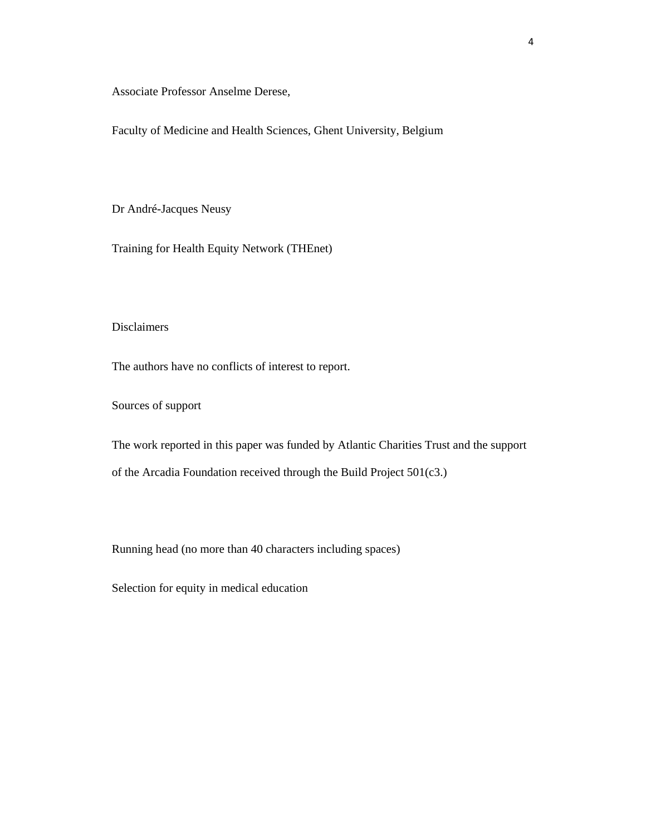Associate Professor Anselme Derese,

Faculty of Medicine and Health Sciences, Ghent University, Belgium

Dr André-Jacques Neusy

Training for Health Equity Network (THEnet)

# Disclaimers

The authors have no conflicts of interest to report.

Sources of support

The work reported in this paper was funded by Atlantic Charities Trust and the support of the Arcadia Foundation received through the Build Project 501(c3.)

Running head (no more than 40 characters including spaces)

Selection for equity in medical education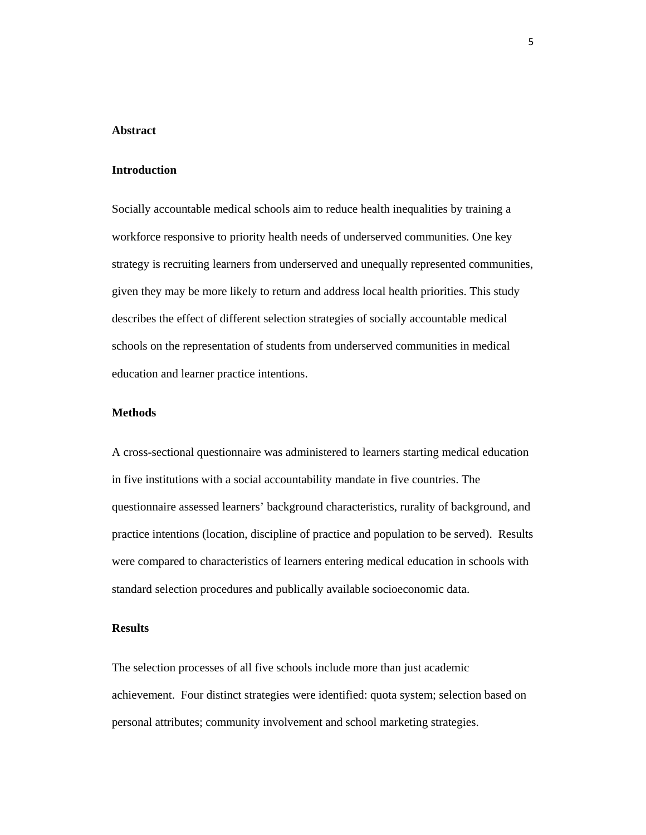#### **Abstract**

#### **Introduction**

Socially accountable medical schools aim to reduce health inequalities by training a workforce responsive to priority health needs of underserved communities. One key strategy is recruiting learners from underserved and unequally represented communities, given they may be more likely to return and address local health priorities. This study describes the effect of different selection strategies of socially accountable medical schools on the representation of students from underserved communities in medical education and learner practice intentions.

# **Methods**

A cross-sectional questionnaire was administered to learners starting medical education in five institutions with a social accountability mandate in five countries. The questionnaire assessed learners' background characteristics, rurality of background, and practice intentions (location, discipline of practice and population to be served). Results were compared to characteristics of learners entering medical education in schools with standard selection procedures and publically available socioeconomic data.

# **Results**

The selection processes of all five schools include more than just academic achievement. Four distinct strategies were identified: quota system; selection based on personal attributes; community involvement and school marketing strategies.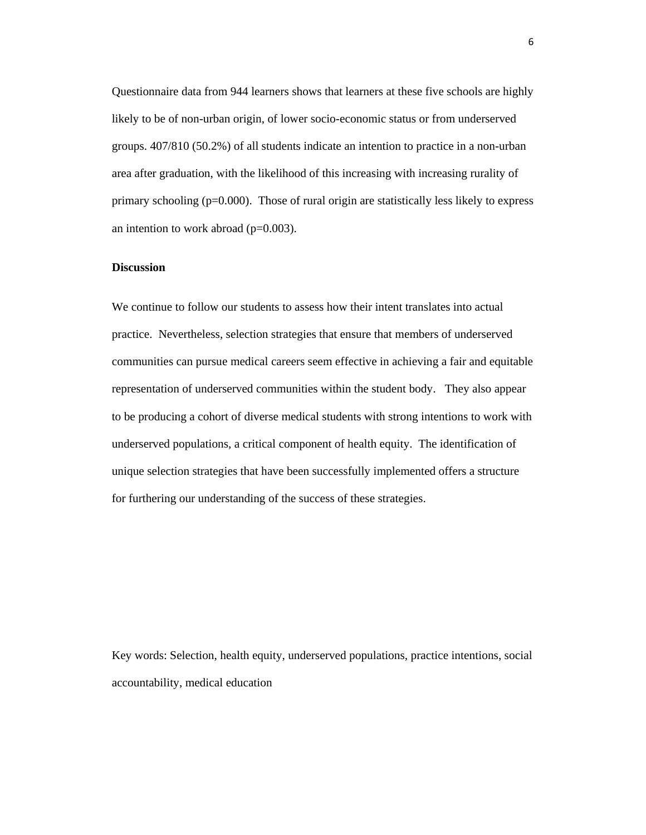Questionnaire data from 944 learners shows that learners at these five schools are highly likely to be of non-urban origin, of lower socio-economic status or from underserved groups. 407/810 (50.2%) of all students indicate an intention to practice in a non-urban area after graduation, with the likelihood of this increasing with increasing rurality of primary schooling (p=0.000). Those of rural origin are statistically less likely to express an intention to work abroad  $(p=0.003)$ .

# **Discussion**

We continue to follow our students to assess how their intent translates into actual practice. Nevertheless, selection strategies that ensure that members of underserved communities can pursue medical careers seem effective in achieving a fair and equitable representation of underserved communities within the student body. They also appear to be producing a cohort of diverse medical students with strong intentions to work with underserved populations, a critical component of health equity. The identification of unique selection strategies that have been successfully implemented offers a structure for furthering our understanding of the success of these strategies.

Key words: Selection, health equity, underserved populations, practice intentions, social accountability, medical education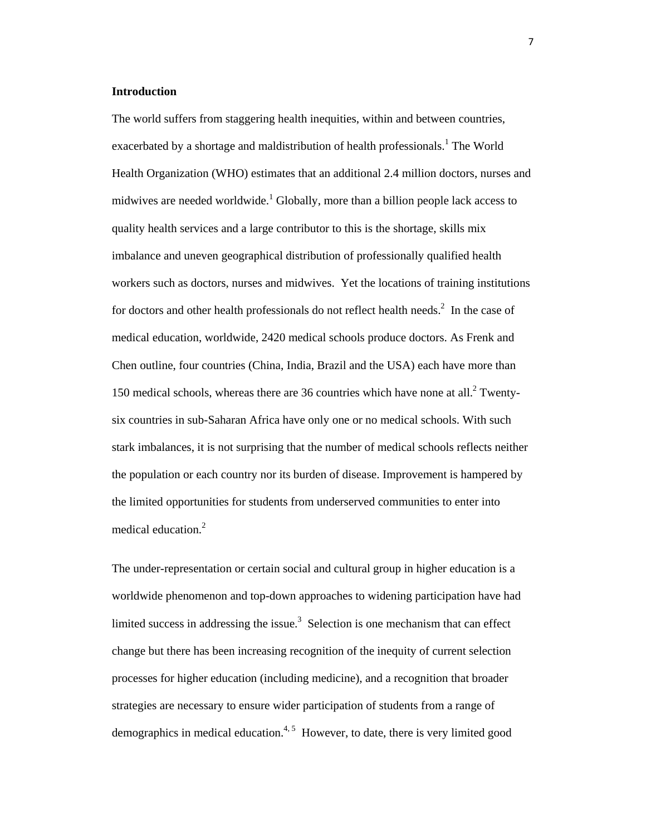#### **Introduction**

The world suffers from staggering health inequities, within and between countries, exacerbated by a shortage and maldistribution of health professionals.<sup>1</sup> The World Health Organization (WHO) estimates that an additional 2.4 million doctors, nurses and midwives are needed worldwide.<sup>1</sup> Globally, more than a billion people lack access to quality health services and a large contributor to this is the shortage, skills mix imbalance and uneven geographical distribution of professionally qualified health workers such as doctors, nurses and midwives. Yet the locations of training institutions for doctors and other health professionals do not reflect health needs. $2$  In the case of medical education, worldwide, 2420 medical schools produce doctors. As Frenk and Chen outline, four countries (China, India, Brazil and the USA) each have more than 150 medical schools, whereas there are 36 countries which have none at all.<sup>2</sup> Twentysix countries in sub-Saharan Africa have only one or no medical schools. With such stark imbalances, it is not surprising that the number of medical schools reflects neither the population or each country nor its burden of disease. Improvement is hampered by the limited opportunities for students from underserved communities to enter into medical education.<sup>2</sup>

The under-representation or certain social and cultural group in higher education is a worldwide phenomenon and top-down approaches to widening participation have had limited success in addressing the issue.<sup>3</sup> Selection is one mechanism that can effect change but there has been increasing recognition of the inequity of current selection processes for higher education (including medicine), and a recognition that broader strategies are necessary to ensure wider participation of students from a range of demographics in medical education.<sup>4, 5</sup> However, to date, there is very limited good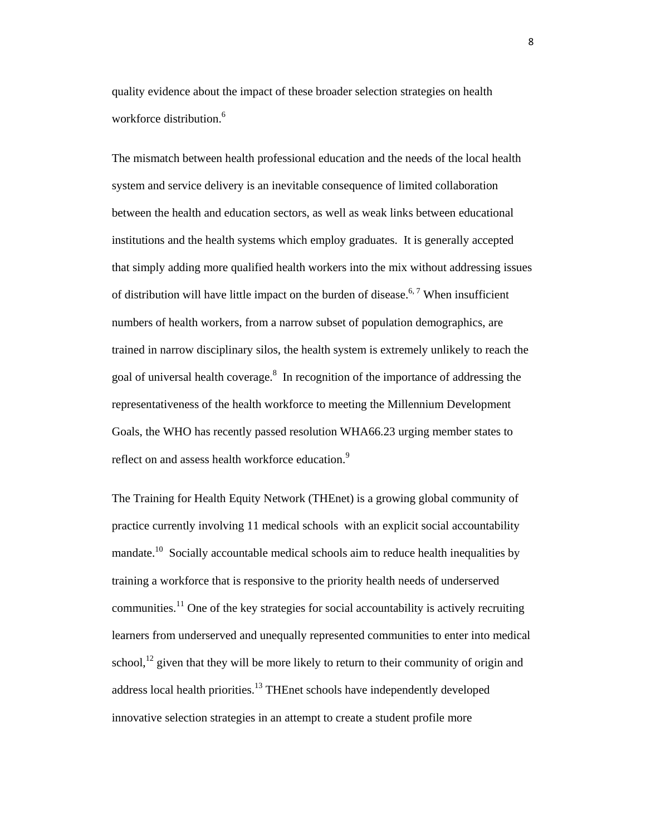quality evidence about the impact of these broader selection strategies on health workforce distribution.<sup>6</sup>

The mismatch between health professional education and the needs of the local health system and service delivery is an inevitable consequence of limited collaboration between the health and education sectors, as well as weak links between educational institutions and the health systems which employ graduates. It is generally accepted that simply adding more qualified health workers into the mix without addressing issues of distribution will have little impact on the burden of disease.<sup>6, 7</sup> When insufficient numbers of health workers, from a narrow subset of population demographics, are trained in narrow disciplinary silos, the health system is extremely unlikely to reach the goal of universal health coverage.<sup>8</sup> In recognition of the importance of addressing the representativeness of the health workforce to meeting the Millennium Development Goals, the WHO has recently passed resolution WHA66.23 urging member states to reflect on and assess health workforce education.<sup>9</sup>

The Training for Health Equity Network (THEnet) is a growing global community of practice currently involving 11 medical schools with an explicit social accountability mandate.<sup>10</sup> Socially accountable medical schools aim to reduce health inequalities by training a workforce that is responsive to the priority health needs of underserved communities.<sup>11</sup> One of the key strategies for social accountability is actively recruiting learners from underserved and unequally represented communities to enter into medical school,<sup>12</sup> given that they will be more likely to return to their community of origin and address local health priorities.<sup>13</sup> THEnet schools have independently developed innovative selection strategies in an attempt to create a student profile more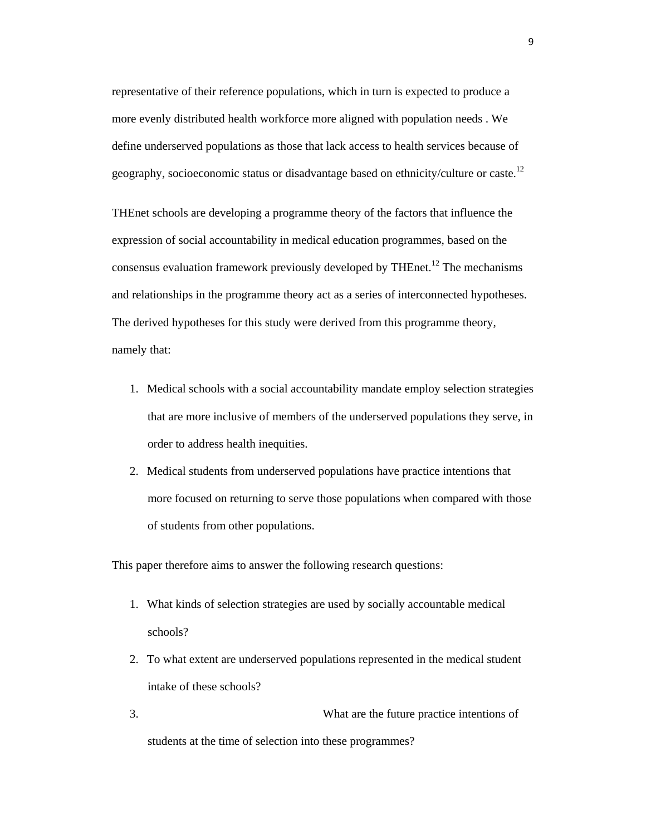representative of their reference populations, which in turn is expected to produce a more evenly distributed health workforce more aligned with population needs . We define underserved populations as those that lack access to health services because of geography, socioeconomic status or disadvantage based on ethnicity/culture or caste.<sup>12</sup>

THEnet schools are developing a programme theory of the factors that influence the expression of social accountability in medical education programmes, based on the consensus evaluation framework previously developed by THEnet.<sup>12</sup> The mechanisms and relationships in the programme theory act as a series of interconnected hypotheses. The derived hypotheses for this study were derived from this programme theory, namely that:

- 1. Medical schools with a social accountability mandate employ selection strategies that are more inclusive of members of the underserved populations they serve, in order to address health inequities.
- 2. Medical students from underserved populations have practice intentions that more focused on returning to serve those populations when compared with those of students from other populations.

This paper therefore aims to answer the following research questions:

- 1. What kinds of selection strategies are used by socially accountable medical schools?
- 2. To what extent are underserved populations represented in the medical student intake of these schools?
- 3. What are the future practice intentions of students at the time of selection into these programmes?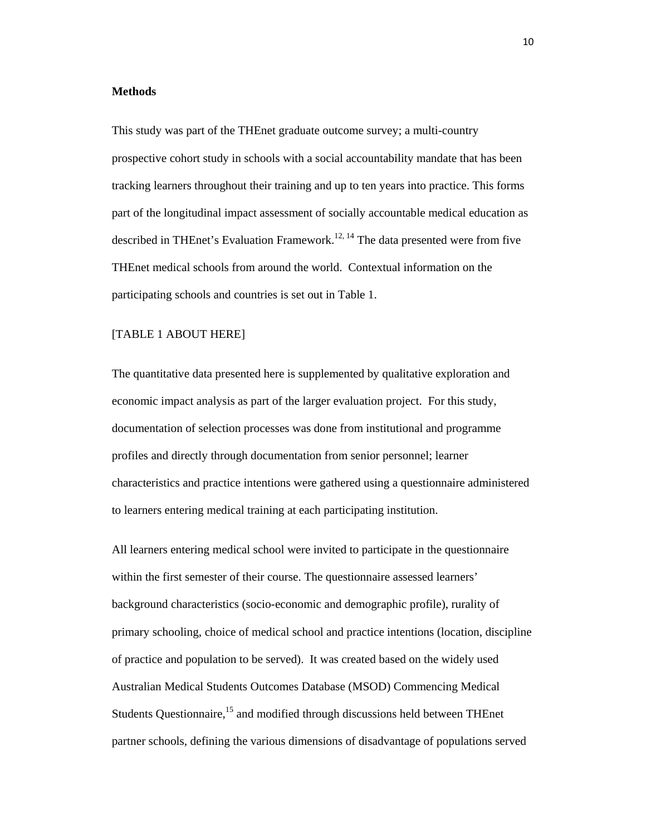#### **Methods**

This study was part of the THEnet graduate outcome survey; a multi-country prospective cohort study in schools with a social accountability mandate that has been tracking learners throughout their training and up to ten years into practice. This forms part of the longitudinal impact assessment of socially accountable medical education as described in THEnet's Evaluation Framework.<sup>12, 14</sup> The data presented were from five THEnet medical schools from around the world. Contextual information on the participating schools and countries is set out in Table 1.

# [TABLE 1 ABOUT HERE]

The quantitative data presented here is supplemented by qualitative exploration and economic impact analysis as part of the larger evaluation project. For this study, documentation of selection processes was done from institutional and programme profiles and directly through documentation from senior personnel; learner characteristics and practice intentions were gathered using a questionnaire administered to learners entering medical training at each participating institution.

All learners entering medical school were invited to participate in the questionnaire within the first semester of their course. The questionnaire assessed learners' background characteristics (socio-economic and demographic profile), rurality of primary schooling, choice of medical school and practice intentions (location, discipline of practice and population to be served). It was created based on the widely used Australian Medical Students Outcomes Database (MSOD) Commencing Medical Students Questionnaire,<sup>15</sup> and modified through discussions held between THEnet partner schools, defining the various dimensions of disadvantage of populations served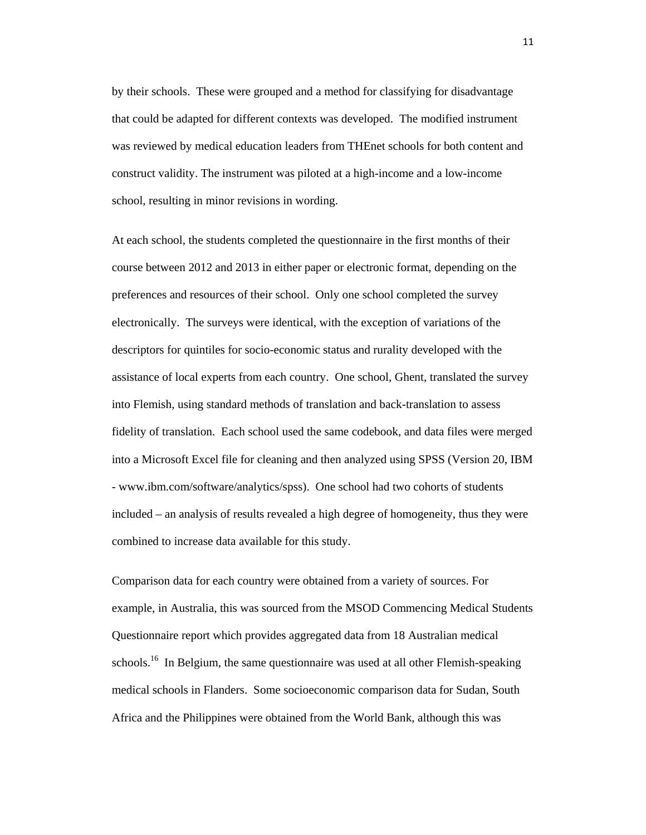by their schools. These were grouped and a method for classifying for disadvantage that could be adapted for different contexts was developed. The modified instrument was reviewed by medical education leaders from THEnet schools for both content and construct validity. The instrument was piloted at a high-income and a low-income school, resulting in minor revisions in wording.

At each school, the students completed the questionnaire in the first months of their course between 2012 and 2013 in either paper or electronic format, depending on the preferences and resources of their school. Only one school completed the survey electronically. The surveys were identical, with the exception of variations of the descriptors for quintiles for socio-economic status and rurality developed with the assistance of local experts from each country. One school, Ghent, translated the survey into Flemish, using standard methods of translation and back-translation to assess fidelity of translation. Each school used the same codebook, and data files were merged into a Microsoft Excel file for cleaning and then analyzed using SPSS (Version 20, IBM - www.ibm.com/software/analytics/spss). One school had two cohorts of students included – an analysis of results revealed a high degree of homogeneity, thus they were combined to increase data available for this study.

Comparison data for each country were obtained from a variety of sources. For example, in Australia, this was sourced from the MSOD Commencing Medical Students Questionnaire report which provides aggregated data from 18 Australian medical schools.<sup>16</sup> In Belgium, the same questionnaire was used at all other Flemish-speaking medical schools in Flanders. Some socioeconomic comparison data for Sudan, South Africa and the Philippines were obtained from the World Bank, although this was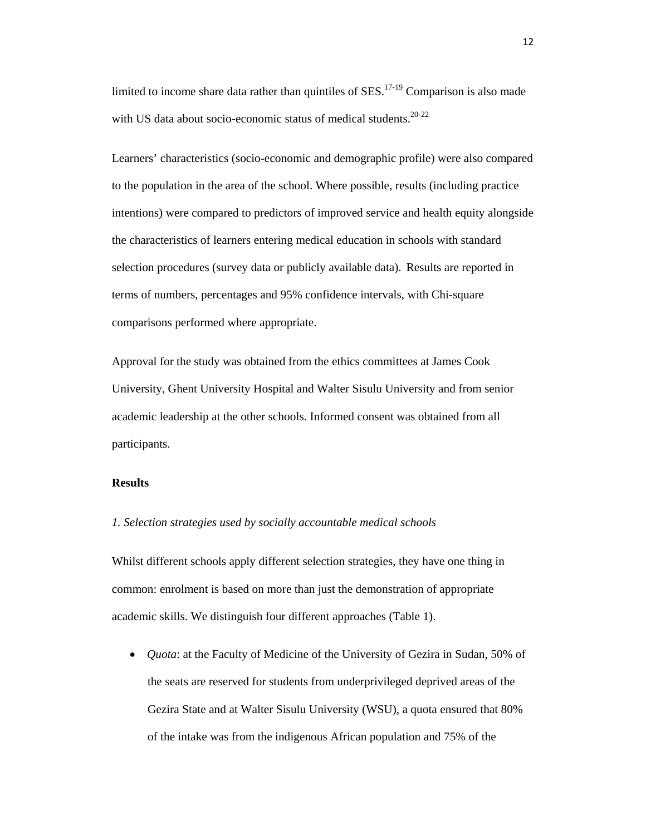limited to income share data rather than quintiles of  $SES$ .<sup>17-19</sup> Comparison is also made with US data about socio-economic status of medical students.<sup>20-22</sup>

Learners' characteristics (socio-economic and demographic profile) were also compared to the population in the area of the school. Where possible, results (including practice intentions) were compared to predictors of improved service and health equity alongside the characteristics of learners entering medical education in schools with standard selection procedures (survey data or publicly available data). Results are reported in terms of numbers, percentages and 95% confidence intervals, with Chi-square comparisons performed where appropriate.

Approval for the study was obtained from the ethics committees at James Cook University, Ghent University Hospital and Walter Sisulu University and from senior academic leadership at the other schools. Informed consent was obtained from all participants.

# **Results**

#### *1. Selection strategies used by socially accountable medical schools*

Whilst different schools apply different selection strategies, they have one thing in common: enrolment is based on more than just the demonstration of appropriate academic skills. We distinguish four different approaches (Table 1).

 *Quota*: at the Faculty of Medicine of the University of Gezira in Sudan, 50% of the seats are reserved for students from underprivileged deprived areas of the Gezira State and at Walter Sisulu University (WSU), a quota ensured that 80% of the intake was from the indigenous African population and 75% of the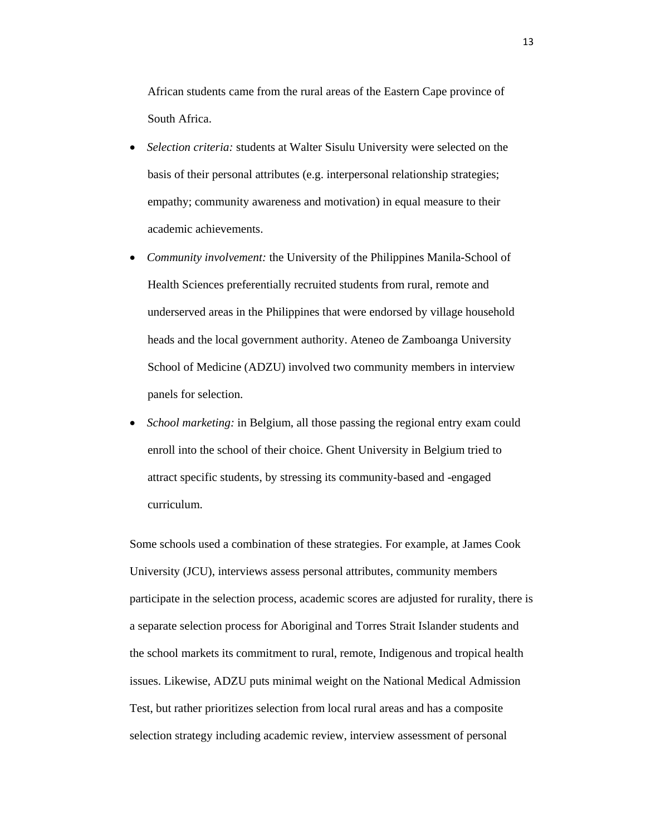African students came from the rural areas of the Eastern Cape province of South Africa.

- *Selection criteria:* students at Walter Sisulu University were selected on the basis of their personal attributes (e.g. interpersonal relationship strategies; empathy; community awareness and motivation) in equal measure to their academic achievements.
- *Community involvement:* the University of the Philippines Manila-School of Health Sciences preferentially recruited students from rural, remote and underserved areas in the Philippines that were endorsed by village household heads and the local government authority. Ateneo de Zamboanga University School of Medicine (ADZU) involved two community members in interview panels for selection.
- *School marketing:* in Belgium, all those passing the regional entry exam could enroll into the school of their choice. Ghent University in Belgium tried to attract specific students, by stressing its community-based and -engaged curriculum.

Some schools used a combination of these strategies. For example, at James Cook University (JCU), interviews assess personal attributes, community members participate in the selection process, academic scores are adjusted for rurality, there is a separate selection process for Aboriginal and Torres Strait Islander students and the school markets its commitment to rural, remote, Indigenous and tropical health issues. Likewise, ADZU puts minimal weight on the National Medical Admission Test, but rather prioritizes selection from local rural areas and has a composite selection strategy including academic review, interview assessment of personal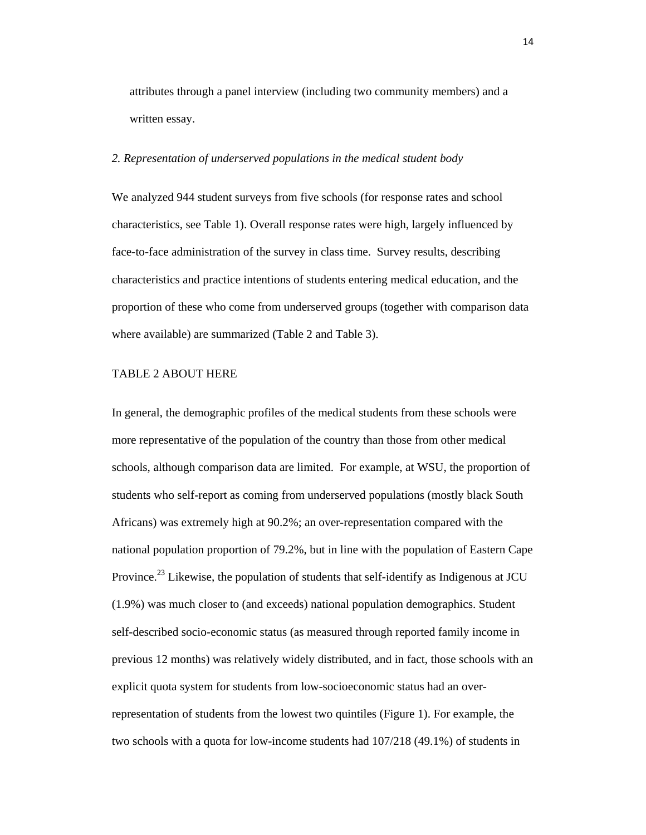attributes through a panel interview (including two community members) and a written essay.

#### *2. Representation of underserved populations in the medical student body*

We analyzed 944 student surveys from five schools (for response rates and school characteristics, see Table 1). Overall response rates were high, largely influenced by face-to-face administration of the survey in class time. Survey results, describing characteristics and practice intentions of students entering medical education, and the proportion of these who come from underserved groups (together with comparison data where available) are summarized (Table 2 and Table 3).

#### TABLE 2 ABOUT HERE

In general, the demographic profiles of the medical students from these schools were more representative of the population of the country than those from other medical schools, although comparison data are limited. For example, at WSU, the proportion of students who self-report as coming from underserved populations (mostly black South Africans) was extremely high at 90.2%; an over-representation compared with the national population proportion of 79.2%, but in line with the population of Eastern Cape Province.<sup>23</sup> Likewise, the population of students that self-identify as Indigenous at JCU (1.9%) was much closer to (and exceeds) national population demographics. Student self-described socio-economic status (as measured through reported family income in previous 12 months) was relatively widely distributed, and in fact, those schools with an explicit quota system for students from low-socioeconomic status had an overrepresentation of students from the lowest two quintiles (Figure 1). For example, the two schools with a quota for low-income students had 107/218 (49.1%) of students in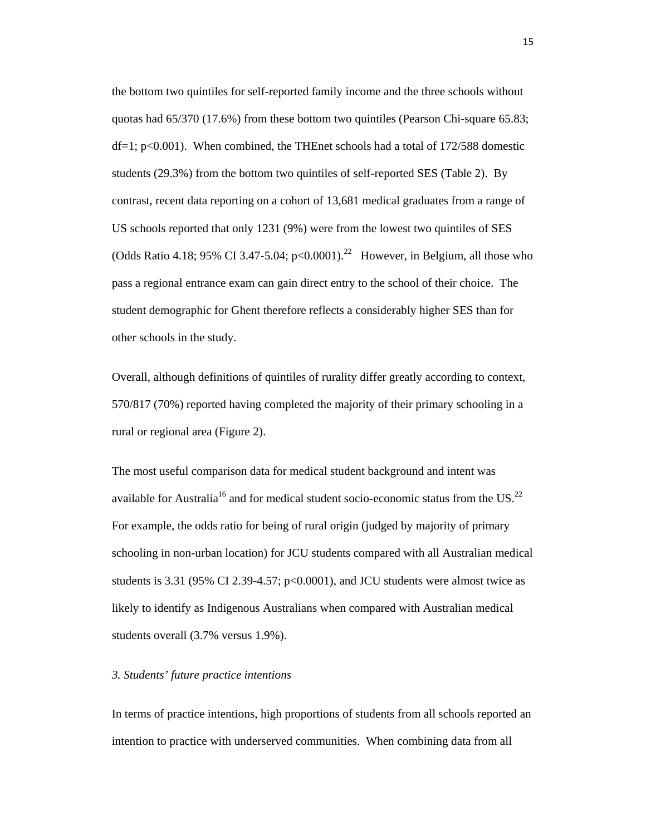the bottom two quintiles for self-reported family income and the three schools without quotas had 65/370 (17.6%) from these bottom two quintiles (Pearson Chi-square 65.83; df=1;  $p<0.001$ ). When combined, the THEnet schools had a total of 172/588 domestic students (29.3%) from the bottom two quintiles of self-reported SES (Table 2). By contrast, recent data reporting on a cohort of 13,681 medical graduates from a range of US schools reported that only 1231 (9%) were from the lowest two quintiles of SES (Odds Ratio 4.18; 95% CI 3.47-5.04; p<0.0001).<sup>22</sup> However, in Belgium, all those who pass a regional entrance exam can gain direct entry to the school of their choice. The student demographic for Ghent therefore reflects a considerably higher SES than for other schools in the study.

Overall, although definitions of quintiles of rurality differ greatly according to context, 570/817 (70%) reported having completed the majority of their primary schooling in a rural or regional area (Figure 2).

The most useful comparison data for medical student background and intent was available for Australia<sup>16</sup> and for medical student socio-economic status from the US.<sup>22</sup> For example, the odds ratio for being of rural origin (judged by majority of primary schooling in non-urban location) for JCU students compared with all Australian medical students is 3.31 (95% CI 2.39-4.57;  $p<0.0001$ ), and JCU students were almost twice as likely to identify as Indigenous Australians when compared with Australian medical students overall (3.7% versus 1.9%).

#### *3. Students' future practice intentions*

In terms of practice intentions, high proportions of students from all schools reported an intention to practice with underserved communities. When combining data from all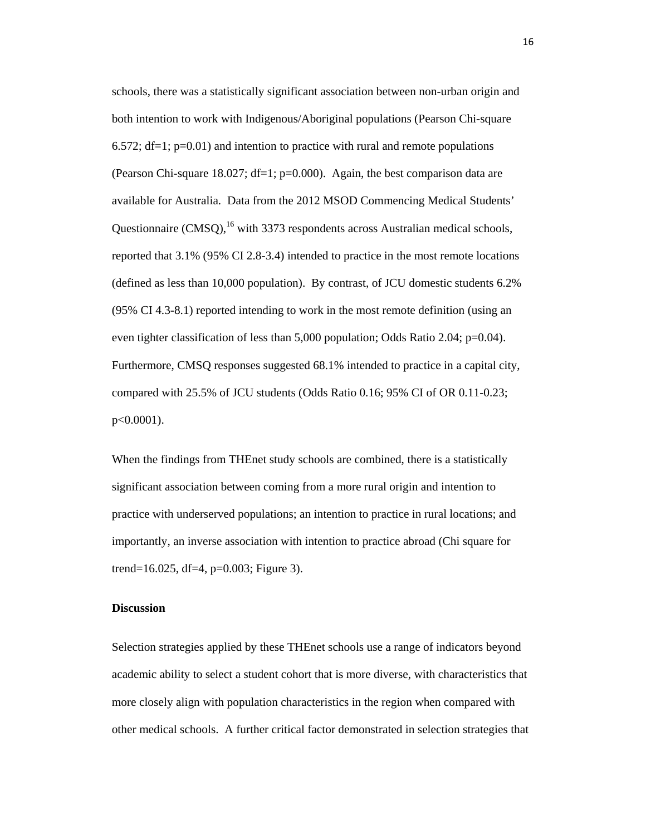schools, there was a statistically significant association between non-urban origin and both intention to work with Indigenous/Aboriginal populations (Pearson Chi-square 6.572;  $df=1$ ;  $p=0.01$ ) and intention to practice with rural and remote populations (Pearson Chi-square 18.027; df=1; p=0.000). Again, the best comparison data are available for Australia. Data from the 2012 MSOD Commencing Medical Students' Questionnaire  $(CMSO)$ , <sup>16</sup> with 3373 respondents across Australian medical schools, reported that 3.1% (95% CI 2.8-3.4) intended to practice in the most remote locations (defined as less than 10,000 population). By contrast, of JCU domestic students 6.2% (95% CI 4.3-8.1) reported intending to work in the most remote definition (using an even tighter classification of less than 5,000 population; Odds Ratio 2.04; p=0.04). Furthermore, CMSQ responses suggested 68.1% intended to practice in a capital city, compared with 25.5% of JCU students (Odds Ratio 0.16; 95% CI of OR 0.11-0.23; p<0.0001).

When the findings from THEnet study schools are combined, there is a statistically significant association between coming from a more rural origin and intention to practice with underserved populations; an intention to practice in rural locations; and importantly, an inverse association with intention to practice abroad (Chi square for trend=16.025, df=4, p=0.003; Figure 3).

# **Discussion**

Selection strategies applied by these THEnet schools use a range of indicators beyond academic ability to select a student cohort that is more diverse, with characteristics that more closely align with population characteristics in the region when compared with other medical schools. A further critical factor demonstrated in selection strategies that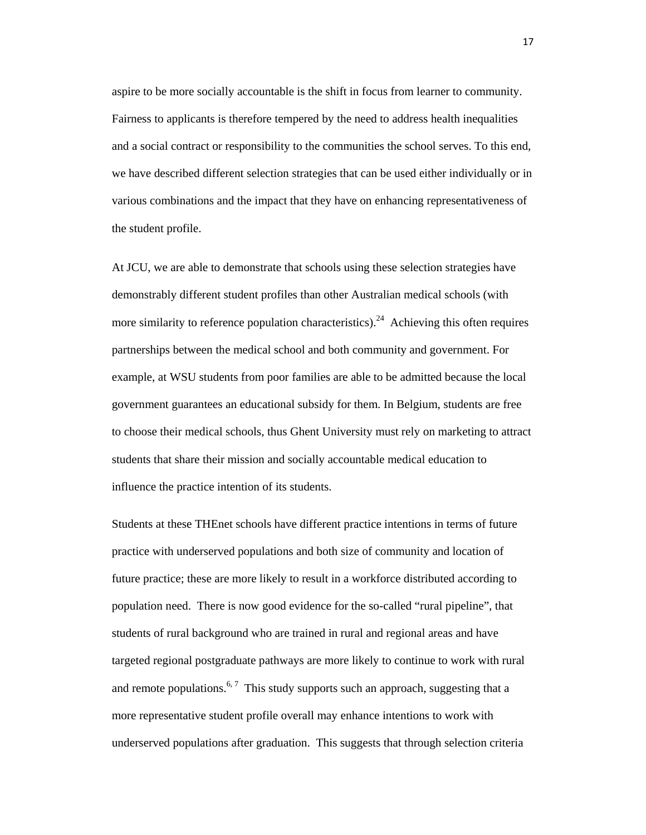aspire to be more socially accountable is the shift in focus from learner to community. Fairness to applicants is therefore tempered by the need to address health inequalities and a social contract or responsibility to the communities the school serves. To this end, we have described different selection strategies that can be used either individually or in various combinations and the impact that they have on enhancing representativeness of the student profile.

At JCU, we are able to demonstrate that schools using these selection strategies have demonstrably different student profiles than other Australian medical schools (with more similarity to reference population characteristics).<sup>24</sup> Achieving this often requires partnerships between the medical school and both community and government. For example, at WSU students from poor families are able to be admitted because the local government guarantees an educational subsidy for them. In Belgium, students are free to choose their medical schools, thus Ghent University must rely on marketing to attract students that share their mission and socially accountable medical education to influence the practice intention of its students.

Students at these THEnet schools have different practice intentions in terms of future practice with underserved populations and both size of community and location of future practice; these are more likely to result in a workforce distributed according to population need. There is now good evidence for the so-called "rural pipeline", that students of rural background who are trained in rural and regional areas and have targeted regional postgraduate pathways are more likely to continue to work with rural and remote populations.<sup>6,7</sup> This study supports such an approach, suggesting that a more representative student profile overall may enhance intentions to work with underserved populations after graduation. This suggests that through selection criteria

17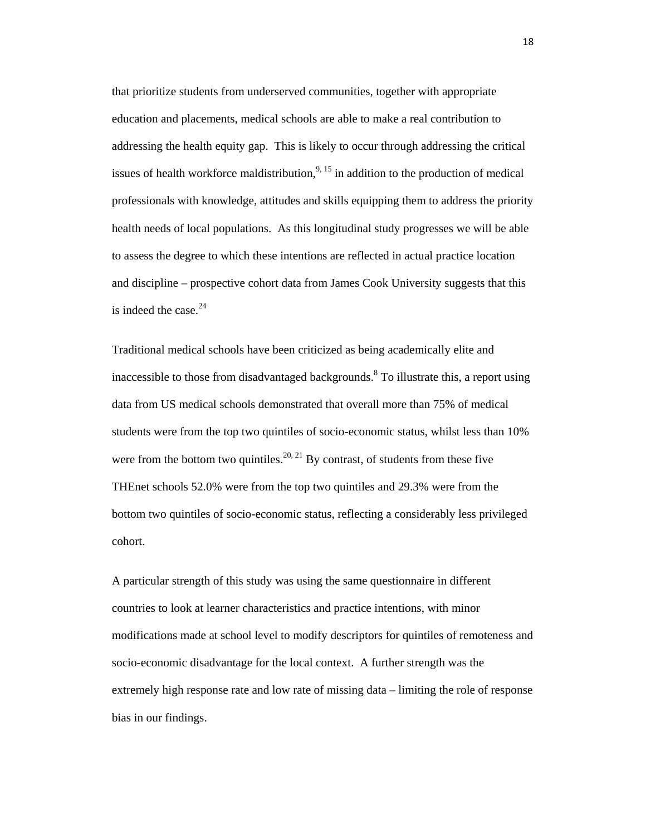that prioritize students from underserved communities, together with appropriate education and placements, medical schools are able to make a real contribution to addressing the health equity gap. This is likely to occur through addressing the critical issues of health workforce maldistribution,  $9,15$  in addition to the production of medical professionals with knowledge, attitudes and skills equipping them to address the priority health needs of local populations. As this longitudinal study progresses we will be able to assess the degree to which these intentions are reflected in actual practice location and discipline – prospective cohort data from James Cook University suggests that this is indeed the case. $24$ 

Traditional medical schools have been criticized as being academically elite and inaccessible to those from disadvantaged backgrounds.<sup>8</sup> To illustrate this, a report using data from US medical schools demonstrated that overall more than 75% of medical students were from the top two quintiles of socio-economic status, whilst less than 10% were from the bottom two quintiles.<sup>20, 21</sup> By contrast, of students from these five THEnet schools 52.0% were from the top two quintiles and 29.3% were from the bottom two quintiles of socio-economic status, reflecting a considerably less privileged cohort.

A particular strength of this study was using the same questionnaire in different countries to look at learner characteristics and practice intentions, with minor modifications made at school level to modify descriptors for quintiles of remoteness and socio-economic disadvantage for the local context. A further strength was the extremely high response rate and low rate of missing data – limiting the role of response bias in our findings.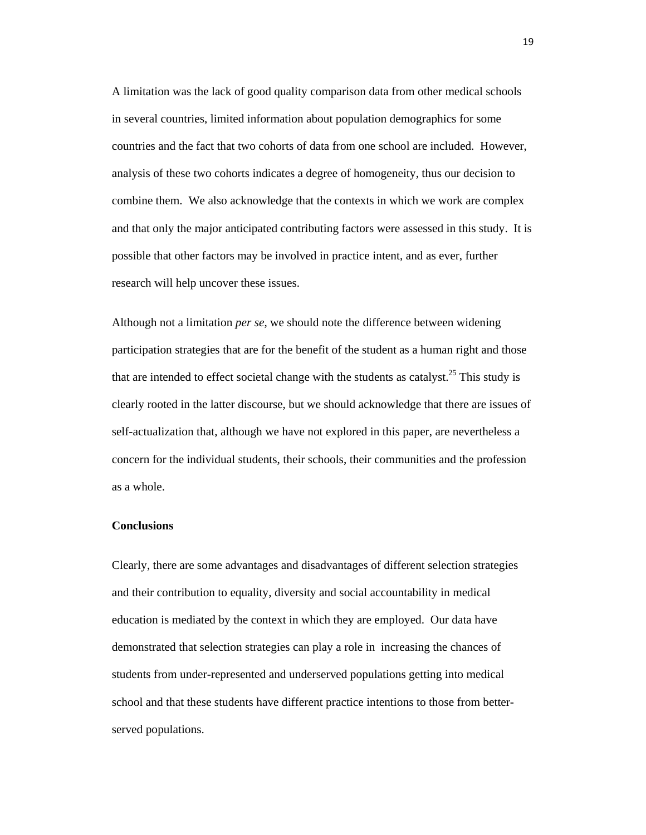A limitation was the lack of good quality comparison data from other medical schools in several countries, limited information about population demographics for some countries and the fact that two cohorts of data from one school are included. However, analysis of these two cohorts indicates a degree of homogeneity, thus our decision to combine them. We also acknowledge that the contexts in which we work are complex and that only the major anticipated contributing factors were assessed in this study. It is possible that other factors may be involved in practice intent, and as ever, further research will help uncover these issues.

Although not a limitation *per se*, we should note the difference between widening participation strategies that are for the benefit of the student as a human right and those that are intended to effect societal change with the students as catalyst.<sup>25</sup> This study is clearly rooted in the latter discourse, but we should acknowledge that there are issues of self-actualization that, although we have not explored in this paper, are nevertheless a concern for the individual students, their schools, their communities and the profession as a whole.

#### **Conclusions**

Clearly, there are some advantages and disadvantages of different selection strategies and their contribution to equality, diversity and social accountability in medical education is mediated by the context in which they are employed. Our data have demonstrated that selection strategies can play a role in increasing the chances of students from under-represented and underserved populations getting into medical school and that these students have different practice intentions to those from betterserved populations.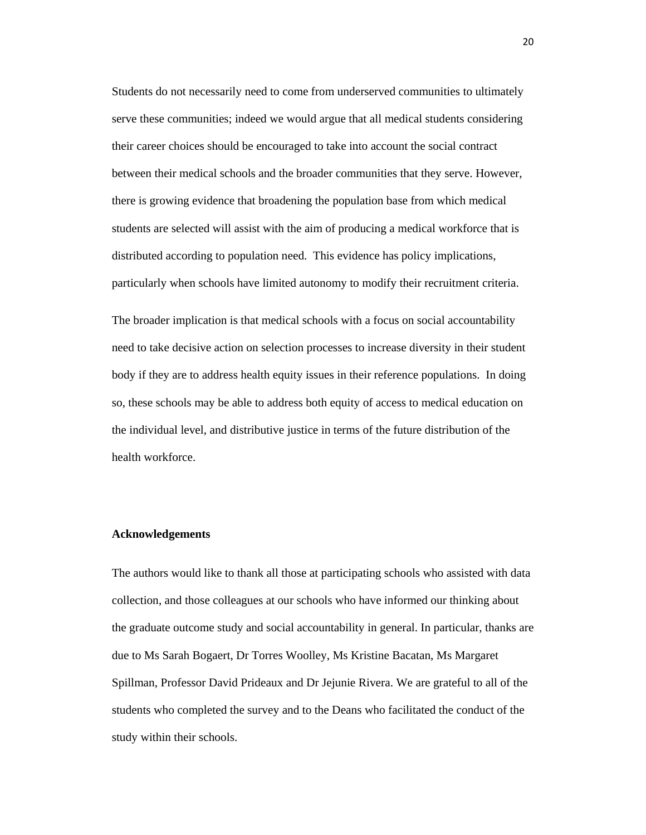Students do not necessarily need to come from underserved communities to ultimately serve these communities; indeed we would argue that all medical students considering their career choices should be encouraged to take into account the social contract between their medical schools and the broader communities that they serve. However, there is growing evidence that broadening the population base from which medical students are selected will assist with the aim of producing a medical workforce that is distributed according to population need. This evidence has policy implications, particularly when schools have limited autonomy to modify their recruitment criteria.

The broader implication is that medical schools with a focus on social accountability need to take decisive action on selection processes to increase diversity in their student body if they are to address health equity issues in their reference populations. In doing so, these schools may be able to address both equity of access to medical education on the individual level, and distributive justice in terms of the future distribution of the health workforce.

#### **Acknowledgements**

The authors would like to thank all those at participating schools who assisted with data collection, and those colleagues at our schools who have informed our thinking about the graduate outcome study and social accountability in general. In particular, thanks are due to Ms Sarah Bogaert, Dr Torres Woolley, Ms Kristine Bacatan, Ms Margaret Spillman, Professor David Prideaux and Dr Jejunie Rivera. We are grateful to all of the students who completed the survey and to the Deans who facilitated the conduct of the study within their schools.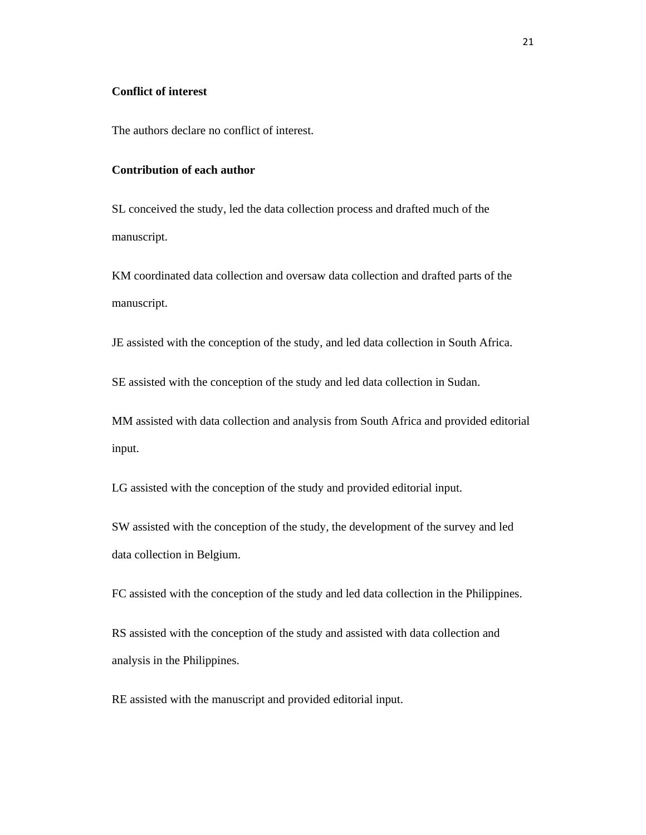# **Conflict of interest**

The authors declare no conflict of interest.

# **Contribution of each author**

SL conceived the study, led the data collection process and drafted much of the manuscript.

KM coordinated data collection and oversaw data collection and drafted parts of the manuscript.

JE assisted with the conception of the study, and led data collection in South Africa.

SE assisted with the conception of the study and led data collection in Sudan.

MM assisted with data collection and analysis from South Africa and provided editorial input.

LG assisted with the conception of the study and provided editorial input.

SW assisted with the conception of the study, the development of the survey and led data collection in Belgium.

FC assisted with the conception of the study and led data collection in the Philippines.

RS assisted with the conception of the study and assisted with data collection and analysis in the Philippines.

RE assisted with the manuscript and provided editorial input.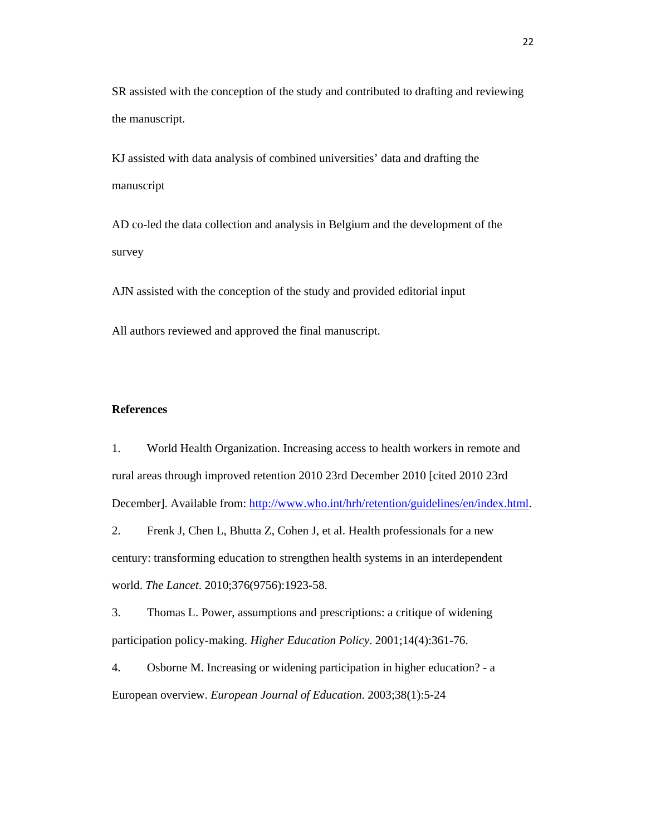SR assisted with the conception of the study and contributed to drafting and reviewing the manuscript.

KJ assisted with data analysis of combined universities' data and drafting the manuscript

AD co-led the data collection and analysis in Belgium and the development of the survey

AJN assisted with the conception of the study and provided editorial input

All authors reviewed and approved the final manuscript.

#### **References**

1. World Health Organization. Increasing access to health workers in remote and rural areas through improved retention 2010 23rd December 2010 [cited 2010 23rd December]. Available from: http://www.who.int/hrh/retention/guidelines/en/index.html.

2. Frenk J, Chen L, Bhutta Z, Cohen J, et al. Health professionals for a new century: transforming education to strengthen health systems in an interdependent world. *The Lancet*. 2010;376(9756):1923-58.

3. Thomas L. Power, assumptions and prescriptions: a critique of widening participation policy-making. *Higher Education Policy*. 2001;14(4):361-76.

4. Osborne M. Increasing or widening participation in higher education? - a European overview. *European Journal of Education*. 2003;38(1):5-24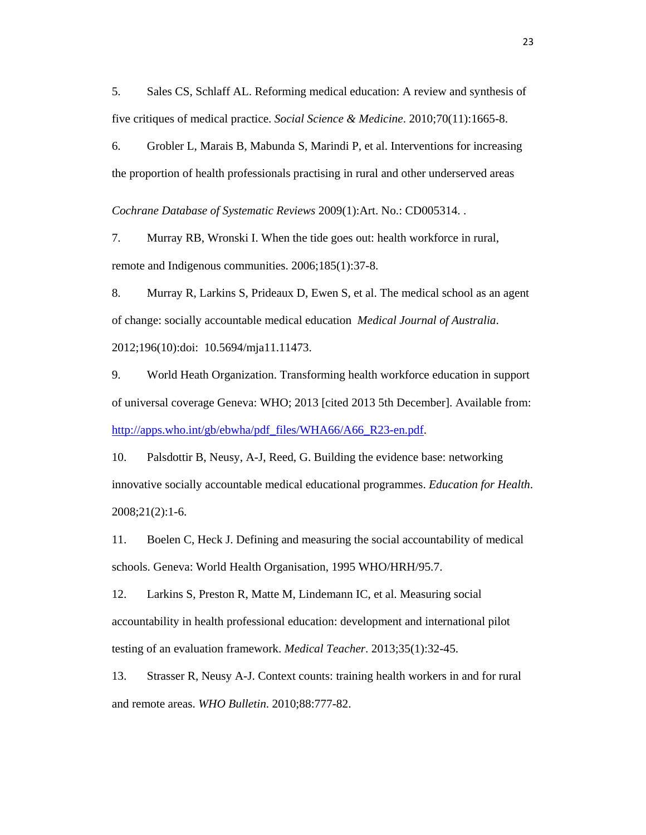5. Sales CS, Schlaff AL. Reforming medical education: A review and synthesis of five critiques of medical practice. *Social Science & Medicine*. 2010;70(11):1665-8.

6. Grobler L, Marais B, Mabunda S, Marindi P, et al. Interventions for increasing the proportion of health professionals practising in rural and other underserved areas

*Cochrane Database of Systematic Reviews* 2009(1):Art. No.: CD005314. .

7. Murray RB, Wronski I. When the tide goes out: health workforce in rural, remote and Indigenous communities. 2006;185(1):37-8.

8. Murray R, Larkins S, Prideaux D, Ewen S, et al. The medical school as an agent of change: socially accountable medical education *Medical Journal of Australia*. 2012;196(10):doi: 10.5694/mja11.11473.

9. World Heath Organization. Transforming health workforce education in support of universal coverage Geneva: WHO; 2013 [cited 2013 5th December]. Available from: http://apps.who.int/gb/ebwha/pdf\_files/WHA66/A66\_R23-en.pdf.

10. Palsdottir B, Neusy, A-J, Reed, G. Building the evidence base: networking innovative socially accountable medical educational programmes. *Education for Health*. 2008;21(2):1-6.

11. Boelen C, Heck J. Defining and measuring the social accountability of medical schools. Geneva: World Health Organisation, 1995 WHO/HRH/95.7.

12. Larkins S, Preston R, Matte M, Lindemann IC, et al. Measuring social accountability in health professional education: development and international pilot testing of an evaluation framework. *Medical Teacher*. 2013;35(1):32-45.

13. Strasser R, Neusy A-J. Context counts: training health workers in and for rural and remote areas. *WHO Bulletin*. 2010;88:777-82.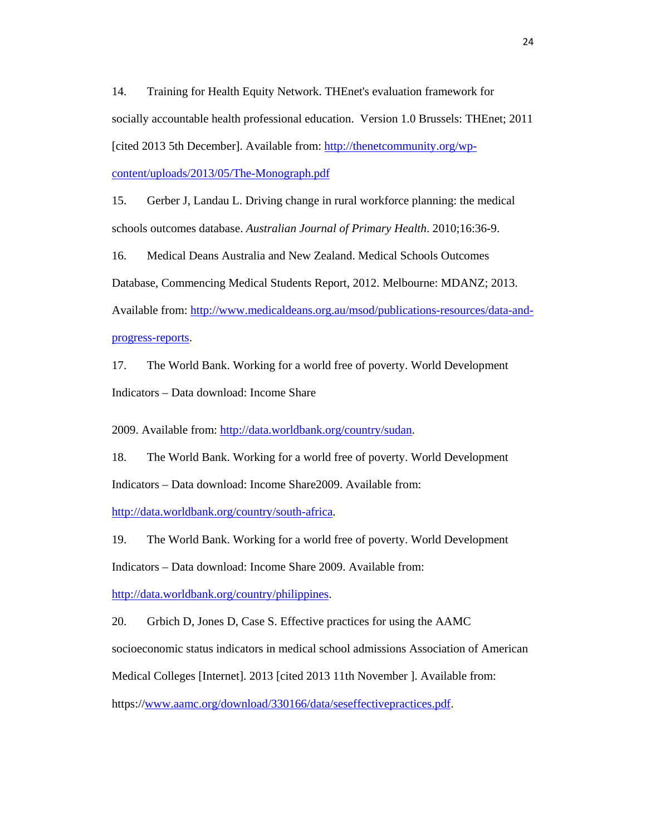14. Training for Health Equity Network. THEnet's evaluation framework for socially accountable health professional education. Version 1.0 Brussels: THEnet; 2011 [cited 2013 5th December]. Available from: http://thenetcommunity.org/wpcontent/uploads/2013/05/The-Monograph.pdf

15. Gerber J, Landau L. Driving change in rural workforce planning: the medical schools outcomes database. *Australian Journal of Primary Health*. 2010;16:36-9.

16. Medical Deans Australia and New Zealand. Medical Schools Outcomes

Database, Commencing Medical Students Report, 2012. Melbourne: MDANZ; 2013.

Available from: http://www.medicaldeans.org.au/msod/publications-resources/data-andprogress-reports.

17. The World Bank. Working for a world free of poverty. World Development Indicators – Data download: Income Share

2009. Available from: http://data.worldbank.org/country/sudan.

18. The World Bank. Working for a world free of poverty. World Development Indicators – Data download: Income Share2009. Available from:

http://data.worldbank.org/country/south-africa.

19. The World Bank. Working for a world free of poverty. World Development

Indicators – Data download: Income Share 2009. Available from:

http://data.worldbank.org/country/philippines.

20. Grbich D, Jones D, Case S. Effective practices for using the AAMC

socioeconomic status indicators in medical school admissions Association of American

Medical Colleges [Internet]. 2013 [cited 2013 11th November ]. Available from:

https://www.aamc.org/download/330166/data/seseffectivepractices.pdf.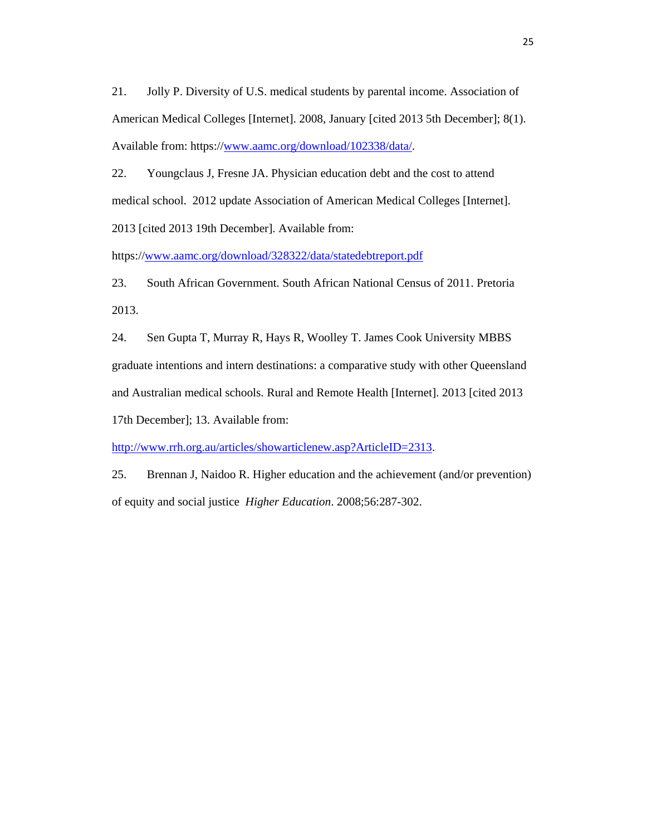21. Jolly P. Diversity of U.S. medical students by parental income. Association of American Medical Colleges [Internet]. 2008, January [cited 2013 5th December]; 8(1). Available from: https://www.aamc.org/download/102338/data/.

22. Youngclaus J, Fresne JA. Physician education debt and the cost to attend medical school. 2012 update Association of American Medical Colleges [Internet]. 2013 [cited 2013 19th December]. Available from:

https://www.aamc.org/download/328322/data/statedebtreport.pdf

23. South African Government. South African National Census of 2011. Pretoria 2013.

24. Sen Gupta T, Murray R, Hays R, Woolley T. James Cook University MBBS graduate intentions and intern destinations: a comparative study with other Queensland and Australian medical schools. Rural and Remote Health [Internet]. 2013 [cited 2013

17th December]; 13. Available from:

http://www.rrh.org.au/articles/showarticlenew.asp?ArticleID=2313.

25. Brennan J, Naidoo R. Higher education and the achievement (and/or prevention) of equity and social justice *Higher Education*. 2008;56:287-302.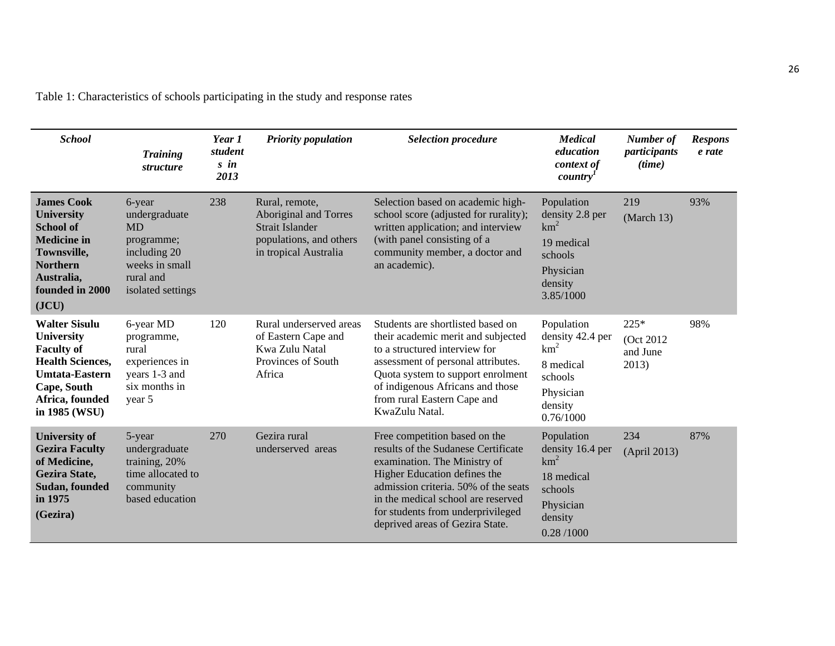| <b>School</b>                                                                                                                                                         | <b>Training</b><br>structure                                                                                           | Year 1<br>student<br>$s$ in<br>2013 | <b>Priority population</b>                                                                                     | <b>Selection procedure</b>                                                                                                                                                                                                                                                                 | <b>Medical</b><br>education<br>context of<br>country                                                              | Number of<br>participants<br>(time)       | <b>Respons</b><br>e rate |
|-----------------------------------------------------------------------------------------------------------------------------------------------------------------------|------------------------------------------------------------------------------------------------------------------------|-------------------------------------|----------------------------------------------------------------------------------------------------------------|--------------------------------------------------------------------------------------------------------------------------------------------------------------------------------------------------------------------------------------------------------------------------------------------|-------------------------------------------------------------------------------------------------------------------|-------------------------------------------|--------------------------|
| <b>James Cook</b><br><b>University</b><br><b>School of</b><br><b>Medicine in</b><br>Townsville,<br><b>Northern</b><br>Australia,<br>founded in 2000<br>( <b>JCU</b> ) | 6-year<br>undergraduate<br><b>MD</b><br>programme;<br>including 20<br>weeks in small<br>rural and<br>isolated settings | 238                                 | Rural, remote,<br>Aboriginal and Torres<br>Strait Islander<br>populations, and others<br>in tropical Australia | Selection based on academic high-<br>school score (adjusted for rurality);<br>written application; and interview<br>(with panel consisting of a<br>community member, a doctor and<br>an academic).                                                                                         | Population<br>density 2.8 per<br>$km^2$<br>19 medical<br>schools<br>Physician<br>density<br>3.85/1000             | 219<br>$March$ 13)                        | 93%                      |
| <b>Walter Sisulu</b><br><b>University</b><br><b>Faculty of</b><br><b>Health Sciences,</b><br><b>Umtata-Eastern</b><br>Cape, South<br>Africa, founded<br>in 1985 (WSU) | 6-year MD<br>programme,<br>rural<br>experiences in<br>years 1-3 and<br>six months in<br>year 5                         | 120                                 | Rural underserved areas<br>of Eastern Cape and<br>Kwa Zulu Natal<br>Provinces of South<br>Africa               | Students are shortlisted based on<br>their academic merit and subjected<br>to a structured interview for<br>assessment of personal attributes.<br>Quota system to support enrolment<br>of indigenous Africans and those<br>from rural Eastern Cape and<br>KwaZulu Natal.                   | Population<br>density 42.4 per<br>$km^2$<br>8 medical<br>schools<br>Physician<br>density<br>0.76/1000             | $225*$<br>(Oct 2012)<br>and June<br>2013) | 98%                      |
| <b>University of</b><br><b>Gezira Faculty</b><br>of Medicine,<br>Gezira State,<br>Sudan, founded<br>in 1975<br>(Gezira)                                               | 5-year<br>undergraduate<br>training, 20%<br>time allocated to<br>community<br>based education                          | 270                                 | Gezira rural<br>underserved areas                                                                              | Free competition based on the<br>results of the Sudanese Certificate<br>examination. The Ministry of<br>Higher Education defines the<br>admission criteria. 50% of the seats<br>in the medical school are reserved<br>for students from underprivileged<br>deprived areas of Gezira State. | Population<br>density 16.4 per<br>km <sup>2</sup><br>18 medical<br>schools<br>Physician<br>density<br>0.28 / 1000 | 234<br>(April 2013)                       | 87%                      |

Table 1: Characteristics of schools participating in the study and response rates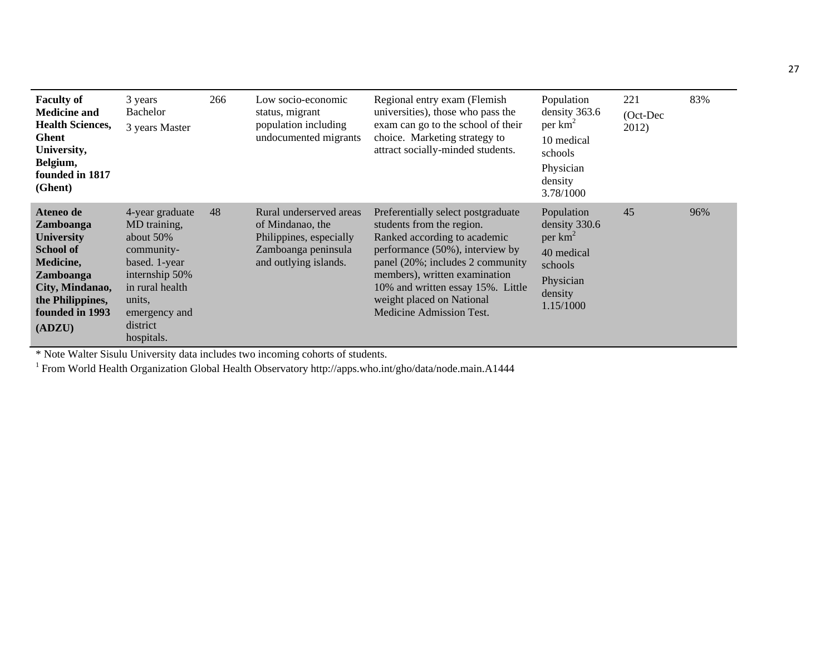| <b>Faculty of</b><br><b>Medicine and</b><br><b>Health Sciences,</b><br>Ghent<br>University,<br>Belgium,<br>founded in 1817<br>(Ghent)                         | 3 years<br><b>Bachelor</b><br>3 years Master                                                                                                                             | 266 | Low socio-economic<br>status, migrant<br>population including<br>undocumented migrants                                 | Regional entry exam (Flemish<br>universities), those who pass the<br>exam can go to the school of their<br>choice. Marketing strategy to<br>attract socially-minded students.                                                                                                                         | Population<br>density 363.6<br>per km <sup>2</sup><br>10 medical<br>schools<br>Physician<br>density<br>3.78/1000 | 221<br>(Oct-Dec<br>2012) | 83% |
|---------------------------------------------------------------------------------------------------------------------------------------------------------------|--------------------------------------------------------------------------------------------------------------------------------------------------------------------------|-----|------------------------------------------------------------------------------------------------------------------------|-------------------------------------------------------------------------------------------------------------------------------------------------------------------------------------------------------------------------------------------------------------------------------------------------------|------------------------------------------------------------------------------------------------------------------|--------------------------|-----|
| Ateneo de<br>Zamboanga<br><b>University</b><br><b>School of</b><br>Medicine,<br>Zamboanga<br>City, Mindanao,<br>the Philippines,<br>founded in 1993<br>(ADZU) | 4-year graduate<br>MD training,<br>about $50\%$<br>community-<br>based. 1-year<br>internship 50%<br>in rural health<br>units,<br>emergency and<br>district<br>hospitals. | 48  | Rural underserved areas<br>of Mindanao, the<br>Philippines, especially<br>Zamboanga peninsula<br>and outlying islands. | Preferentially select postgraduate<br>students from the region.<br>Ranked according to academic<br>performance (50%), interview by<br>panel (20%; includes 2 community<br>members), written examination<br>10% and written essay 15%. Little<br>weight placed on National<br>Medicine Admission Test. | Population<br>density 330.6<br>per $km^2$<br>40 medical<br>schools<br>Physician<br>density<br>1.15/1000          | 45                       | 96% |

\* Note Walter Sisulu University data includes two incoming cohorts of students. 1 From World Health Organization Global Health Observatory http://apps.who.int/gho/data/node.main.A1444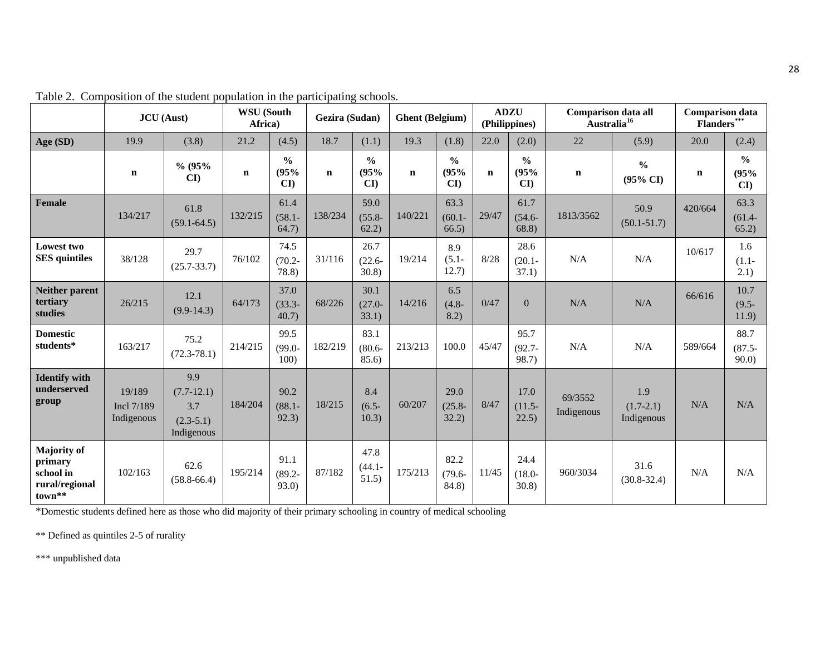|                                                                          | <b>JCU</b> (Aust)                  |                                                         | <b>WSU</b> (South<br>Africa) |                                       | Gezira (Sudan) |                             | <b>Ghent</b> (Belgium) |                                       | <b>ADZU</b><br>(Philippines) |                                                 | <b>Comparison data all</b><br>Australia <sup>16</sup> |                                      | <b>Comparison data</b><br>Flanders*** |                             |
|--------------------------------------------------------------------------|------------------------------------|---------------------------------------------------------|------------------------------|---------------------------------------|----------------|-----------------------------|------------------------|---------------------------------------|------------------------------|-------------------------------------------------|-------------------------------------------------------|--------------------------------------|---------------------------------------|-----------------------------|
| Age (SD)                                                                 | 19.9                               | (3.8)                                                   | 21.2                         | (4.5)                                 | 18.7           | (1.1)                       | 19.3                   | (1.8)                                 | 22.0                         | (2.0)                                           | 22                                                    | (5.9)                                | 20.0                                  | (2.4)                       |
|                                                                          | $\mathbf n$                        | % (95%<br>$\mathbf{C}\mathbf{I}$                        | $\mathbf n$                  | $\frac{0}{0}$<br>(95%<br>$\mathbf{C}$ | $\mathbf n$    | $\frac{0}{0}$<br>(95%<br>CI | $\mathbf n$            | $\frac{0}{0}$<br>(95%<br>$\mathbf{C}$ | $\mathbf n$                  | $\frac{0}{0}$<br>(95%<br>$\mathbf{C}\mathbf{D}$ | $\mathbf n$                                           | $\frac{0}{0}$<br>$(95\% \text{ CI})$ | $\mathbf n$                           | $\frac{0}{0}$<br>(95%<br>CI |
| <b>Female</b>                                                            | 134/217                            | 61.8<br>$(59.1 - 64.5)$                                 | 132/215                      | 61.4<br>$(58.1 -$<br>64.7)            | 138/234        | 59.0<br>$(55.8 -$<br>62.2)  | 140/221                | 63.3<br>$(60.1 -$<br>66.5)            | 29/47                        | 61.7<br>$(54.6 -$<br>68.8)                      | 1813/3562                                             | 50.9<br>$(50.1 - 51.7)$              | 420/664                               | 63.3<br>$(61.4 -$<br>65.2)  |
| Lowest two<br><b>SES</b> quintiles                                       | 38/128                             | 29.7<br>$(25.7 - 33.7)$                                 | 76/102                       | 74.5<br>$(70.2 -$<br>78.8)            | 31/116         | 26.7<br>$(22.6 -$<br>30.8   | 19/214                 | 8.9<br>$(5.1 -$<br>12.7)              | 8/28                         | 28.6<br>$(20.1 -$<br>37.1)                      | N/A                                                   | N/A                                  | 10/617                                | 1.6<br>$(1.1 -$<br>2.1)     |
| <b>Neither parent</b><br>tertiary<br>studies                             | 26/215                             | 12.1<br>$(9.9-14.3)$                                    | 64/173                       | 37.0<br>$(33.3 -$<br>40.7)            | 68/226         | 30.1<br>$(27.0 -$<br>33.1)  | 14/216                 | 6.5<br>$(4.8 -$<br>8.2)               | 0/47                         | $\Omega$                                        | N/A                                                   | N/A                                  | 66/616                                | 10.7<br>$(9.5 -$<br>11.9)   |
| <b>Domestic</b><br>students*                                             | 163/217                            | 75.2<br>$(72.3 - 78.1)$                                 | 214/215                      | 99.5<br>$(99.0 -$<br>100)             | 182/219        | 83.1<br>$(80.6 -$<br>85.6)  | 213/213                | 100.0                                 | 45/47                        | 95.7<br>$(92.7 -$<br>98.7)                      | N/A                                                   | N/A                                  | 589/664                               | 88.7<br>$(87.5 -$<br>90.0   |
| <b>Identify with</b><br>underserved<br>group                             | 19/189<br>Incl 7/189<br>Indigenous | 9.9<br>$(7.7-12.1)$<br>3.7<br>$(2.3-5.1)$<br>Indigenous | 184/204                      | 90.2<br>$(88.1 -$<br>92.3)            | 18/215         | 8.4<br>$(6.5 -$<br>10.3)    | 60/207                 | 29.0<br>$(25.8 -$<br>32.2)            | 8/47                         | 17.0<br>$(11.5 -$<br>22.5)                      | 69/3552<br>Indigenous                                 | 1.9<br>$(1.7 - 2.1)$<br>Indigenous   | N/A                                   | N/A                         |
| <b>Majority of</b><br>primary<br>school in<br>rural/regional<br>$town**$ | 102/163                            | 62.6<br>$(58.8 - 66.4)$                                 | 195/214                      | 91.1<br>$(89.2 -$<br>93.0             | 87/182         | 47.8<br>$(44.1 -$<br>51.5)  | 175/213                | 82.2<br>$(79.6 -$<br>84.8)            | 11/45                        | 24.4<br>$(18.0 -$<br>30.8                       | 960/3034                                              | 31.6<br>$(30.8 - 32.4)$              | N/A                                   | N/A                         |

Table 2. Composition of the student population in the participating schools.

\*Domestic students defined here as those who did majority of their primary schooling in country of medical schooling

\*\* Defined as quintiles 2-5 of rurality

\*\*\* unpublished data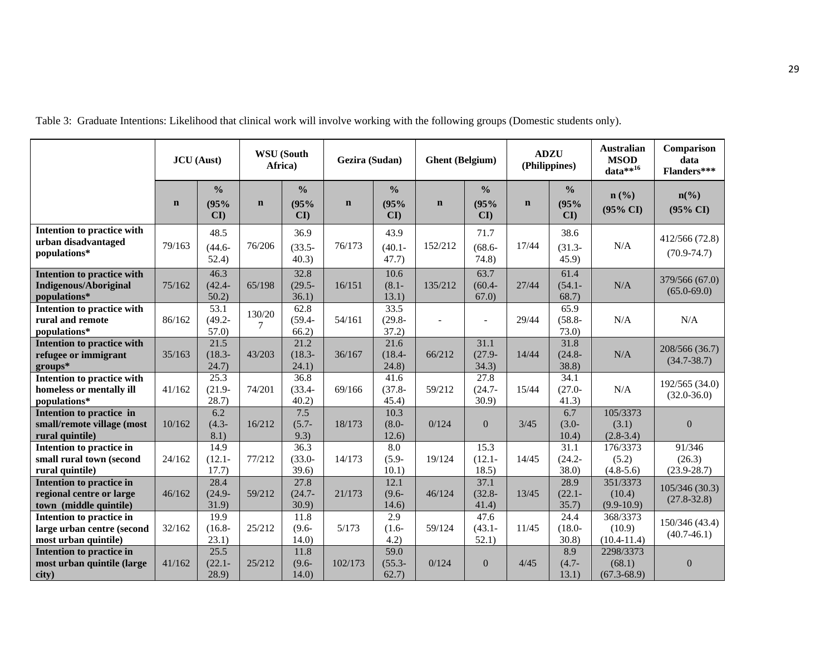|                                                                                   | <b>JCU</b> (Aust) |                                       | <b>WSU</b> (South<br>Africa) |                             | Gezira (Sudan) |                                       | <b>Ghent</b> (Belgium) |                                       | <b>ADZU</b><br>(Philippines) |                             | <b>Australian</b><br><b>MSOD</b><br>data $**^{16}$ | Comparison<br>data<br>Flanders***                  |
|-----------------------------------------------------------------------------------|-------------------|---------------------------------------|------------------------------|-----------------------------|----------------|---------------------------------------|------------------------|---------------------------------------|------------------------------|-----------------------------|----------------------------------------------------|----------------------------------------------------|
|                                                                                   | $\mathbf n$       | $\frac{6}{6}$<br>(95%<br>$\mathbf{C}$ | $\mathbf n$                  | $\frac{0}{0}$<br>(95%<br>CI | $\mathbf n$    | $\frac{0}{0}$<br>(95%<br>$\mathbf{C}$ | $\mathbf n$            | $\frac{0}{0}$<br>(95%<br>$\mathbf{C}$ | $\mathbf n$                  | $\frac{0}{0}$<br>(95%<br>CI | $n\left(\frac{0}{0}\right)$<br>$(95\% \text{ CI})$ | $n\left(\frac{0}{0}\right)$<br>$(95\% \text{ CI})$ |
| Intention to practice with<br>urban disadvantaged<br>populations*                 | 79/163            | 48.5<br>$(44.6 -$<br>52.4)            | 76/206                       | 36.9<br>$(33.5 -$<br>40.3)  | 76/173         | 43.9<br>$(40.1 -$<br>47.7)            | 152/212                | 71.7<br>$(68.6 -$<br>74.8)            | 17/44                        | 38.6<br>$(31.3 -$<br>45.9   | N/A                                                | 412/566 (72.8)<br>$(70.9 - 74.7)$                  |
| <b>Intention to practice with</b><br><b>Indigenous/Aboriginal</b><br>populations* | 75/162            | 46.3<br>$(42.4 -$<br>50.2             | 65/198                       | 32.8<br>$(29.5 -$<br>36.1)  | 16/151         | 10.6<br>$(8.1 -$<br>13.1)             | 135/212                | 63.7<br>$(60.4 -$<br>67.0             | 27/44                        | 61.4<br>$(54.1 -$<br>68.7)  | N/A                                                | 379/566 (67.0)<br>$(65.0 - 69.0)$                  |
| Intention to practice with<br>rural and remote<br>populations*                    | 86/162            | 53.1<br>$(49.2 -$<br>57.0             | 130/20<br>7                  | 62.8<br>$(59.4 -$<br>66.2)  | 54/161         | 33.5<br>$(29.8 -$<br>37.2)            |                        |                                       | 29/44                        | 65.9<br>$(58.8 -$<br>73.0)  | N/A                                                | N/A                                                |
| <b>Intention to practice with</b><br>refugee or immigrant<br>$groups*$            | 35/163            | 21.5<br>$(18.3 -$<br>24.7)            | 43/203                       | 21.2<br>$(18.3 -$<br>24.1)  | 36/167         | 21.6<br>$(18.4 -$<br>24.8)            | 66/212                 | 31.1<br>$(27.9 -$<br>34.3)            | 14/44                        | 31.8<br>$(24.8 -$<br>38.8)  | N/A                                                | 208/566 (36.7)<br>$(34.7 - 38.7)$                  |
| Intention to practice with<br>homeless or mentally ill<br>populations*            | 41/162            | 25.3<br>$(21.9 -$<br>28.7)            | 74/201                       | 36.8<br>$(33.4 -$<br>40.2)  | 69/166         | 41.6<br>$(37.8 -$<br>45.4)            | 59/212                 | 27.8<br>$(24.7 -$<br>30.9             | 15/44                        | 34.1<br>$(27.0 -$<br>41.3)  | N/A                                                | 192/565 (34.0)<br>$(32.0 - 36.0)$                  |
| Intention to practice in<br>small/remote village (most<br>rural quintile)         | 10/162            | 6.2<br>$(4.3 -$<br>8.1)               | 16/212                       | 7.5<br>$(5.7 -$<br>9.3)     | 18/173         | 10.3<br>$(8.0 -$<br>12.6)             | 0/124                  | $\overline{0}$                        | 3/45                         | 6.7<br>$(3.0 -$<br>10.4)    | 105/3373<br>(3.1)<br>$(2.8-3.4)$                   | $\overline{0}$                                     |
| Intention to practice in<br>small rural town (second<br>rural quintile)           | 24/162            | 14.9<br>$(12.1 -$<br>17.7)            | 77/212                       | 36.3<br>$(33.0 -$<br>39.6)  | 14/173         | 8.0<br>$(5.9 -$<br>10.1)              | 19/124                 | 15.3<br>$(12.1 -$<br>18.5)            | 14/45                        | 31.1<br>$(24.2 -$<br>38.0)  | 176/3373<br>(5.2)<br>$(4.8-5.6)$                   | 91/346<br>(26.3)<br>$(23.9 - 28.7)$                |
| Intention to practice in<br>regional centre or large<br>town (middle quintile)    | 46/162            | 28.4<br>$(24.9 -$<br>31.9)            | 59/212                       | 27.8<br>$(24.7 -$<br>30.9   | 21/173         | 12.1<br>$(9.6 -$<br>14.6)             | 46/124                 | 37.1<br>$(32.8 -$<br>41.4)            | 13/45                        | 28.9<br>$(22.1 -$<br>35.7)  | 351/3373<br>(10.4)<br>$(9.9-10.9)$                 | 105/346(30.3)<br>$(27.8 - 32.8)$                   |
| Intention to practice in<br>large urban centre (second<br>most urban quintile)    | 32/162            | 19.9<br>$(16.8 -$<br>23.1)            | 25/212                       | 11.8<br>$(9.6 -$<br>14.0)   | 5/173          | 2.9<br>$(1.6 -$<br>4.2)               | 59/124                 | 47.6<br>$(43.1 -$<br>52.1)            | 11/45                        | 24.4<br>$(18.0 -$<br>30.8)  | 368/3373<br>(10.9)<br>$(10.4 - 11.4)$              | 150/346 (43.4)<br>$(40.7-46.1)$                    |
| Intention to practice in<br>most urban quintile (large<br>city)                   | 41/162            | 25.5<br>$(22.1 -$<br>28.9)            | 25/212                       | 11.8<br>$(9.6 -$<br>14.0)   | 102/173        | 59.0<br>$(55.3 -$<br>62.7)            | 0/124                  | $\overline{0}$                        | 4/45                         | 8.9<br>$(4.7 -$<br>13.1)    | 2298/3373<br>(68.1)<br>$(67.3 - 68.9)$             | $\boldsymbol{0}$                                   |

Table 3: Graduate Intentions: Likelihood that clinical work will involve working with the following groups (Domestic students only).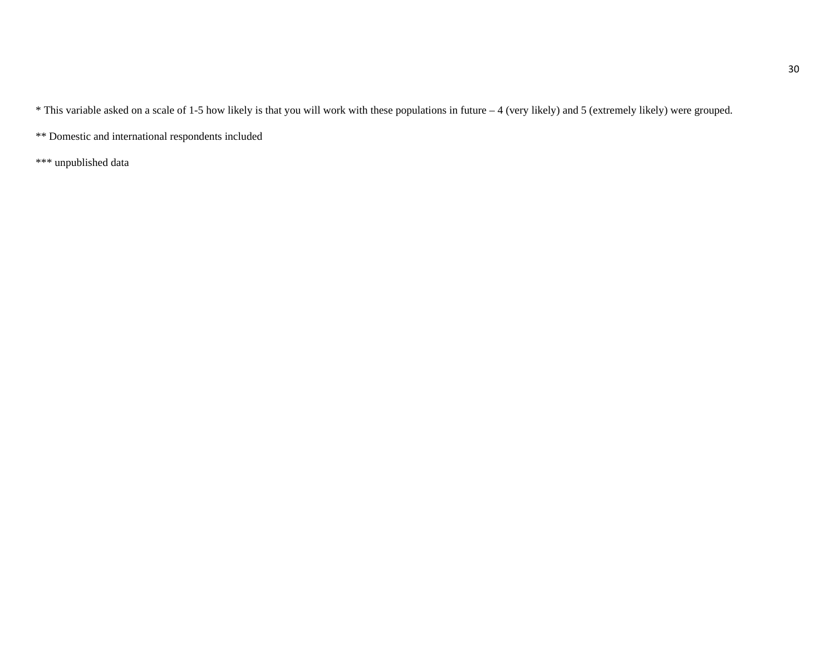\* This variable asked on a scale of 1-5 how likely is that you will work with these populations in future – 4 (very likely) and 5 (extremely likely) were grouped.

\*\* Domestic and international respondents included

\*\*\* unpublished data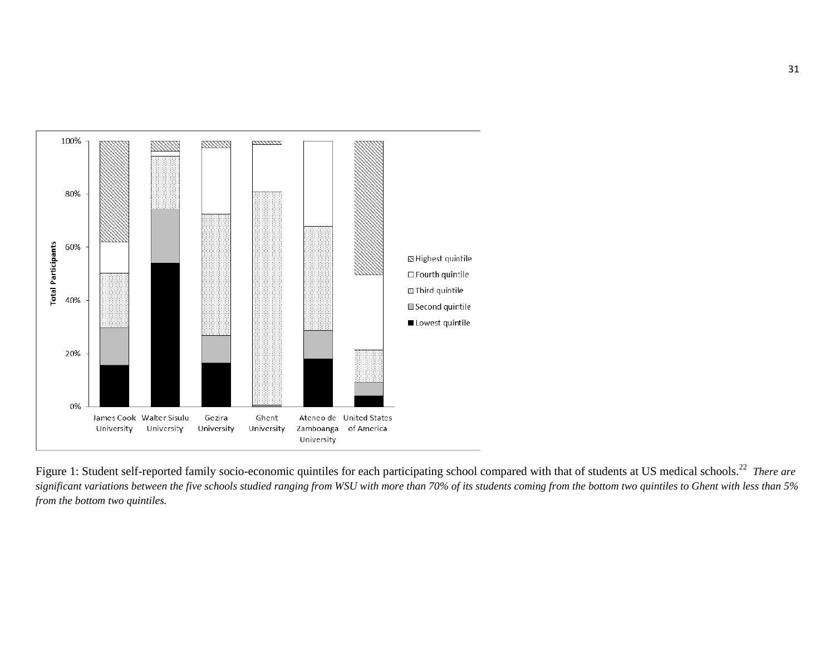

Figure 1: Student self-reported family socio-economic quintiles for each participating school compared with that of students at US medical schools.<sup>22</sup> *There are significant variations between the five schools studied ranging from WSU with more than 70% of its students coming from the bottom two quintiles to Ghent with less than 5% from the bottom two quintiles.*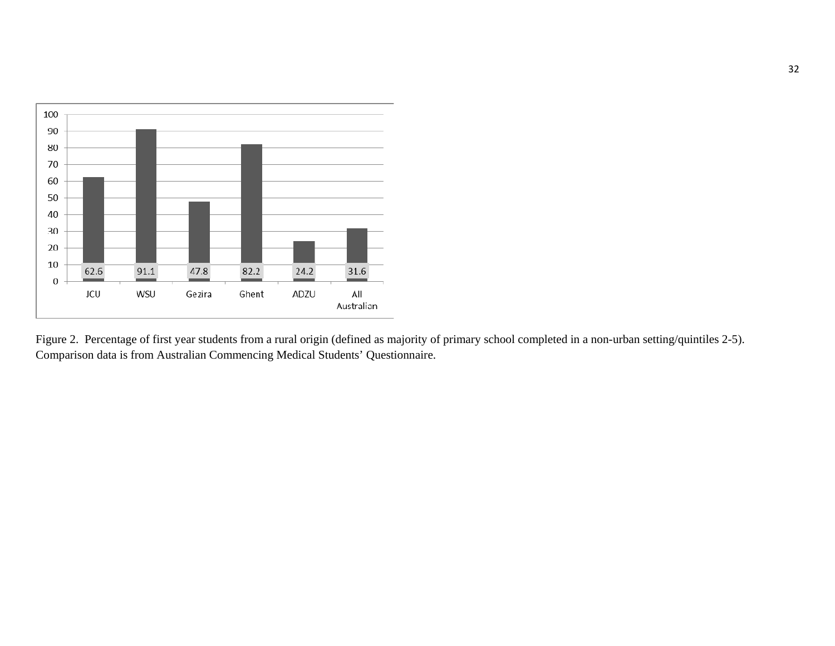

Figure 2. Percentage of first year students from a rural origin (defined as majority of primary school completed in a non-urban setting/quintiles 2-5). Comparison data is from Australian Commencing Medical Students' Questionnaire.